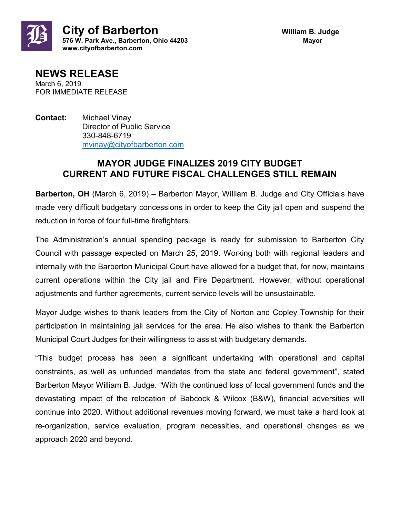



**NEWS RELEASE** March 6, 2019 FOR IMMEDIATE RELEASE

**Contact:** Michael Vinay Director of Public Service 330-848-6719 [mvinay@cityofbarberton.com](mailto:mvinay@cityofbarberton.com) 

## **MAYOR JUDGE FINALIZES 2019 CITY BUDGET CURRENT AND FUTURE FISCAL CHALLENGES STILL REMAIN**

**Barberton, OH** (March 6, 2019) – Barberton Mayor, William B. Judge and City Officials have made very difficult budgetary concessions in order to keep the City jail open and suspend the reduction in force of four full-time firefighters.

The Administration's annual spending package is ready for submission to Barberton City Council with passage expected on March 25, 2019. Working both with regional leaders and internally with the Barberton Municipal Court have allowed for a budget that, for now, maintains current operations within the City jail and Fire Department. However, without operational adjustments and further agreements, current service levels will be unsustainable.

Mayor Judge wishes to thank leaders from the City of Norton and Copley Township for their participation in maintaining jail services for the area. He also wishes to thank the Barberton Municipal Court Judges for their willingness to assist with budgetary demands.

"This budget process has been a significant undertaking with operational and capital constraints, as well as unfunded mandates from the state and federal government", stated Barberton Mayor William B. Judge. "With the continued loss of local government funds and the devastating impact of the relocation of Babcock & Wilcox (B&W), financial adversities will continue into 2020. Without additional revenues moving forward, we must take a hard look at re-organization, service evaluation, program necessities, and operational changes as we approach 2020 and beyond.